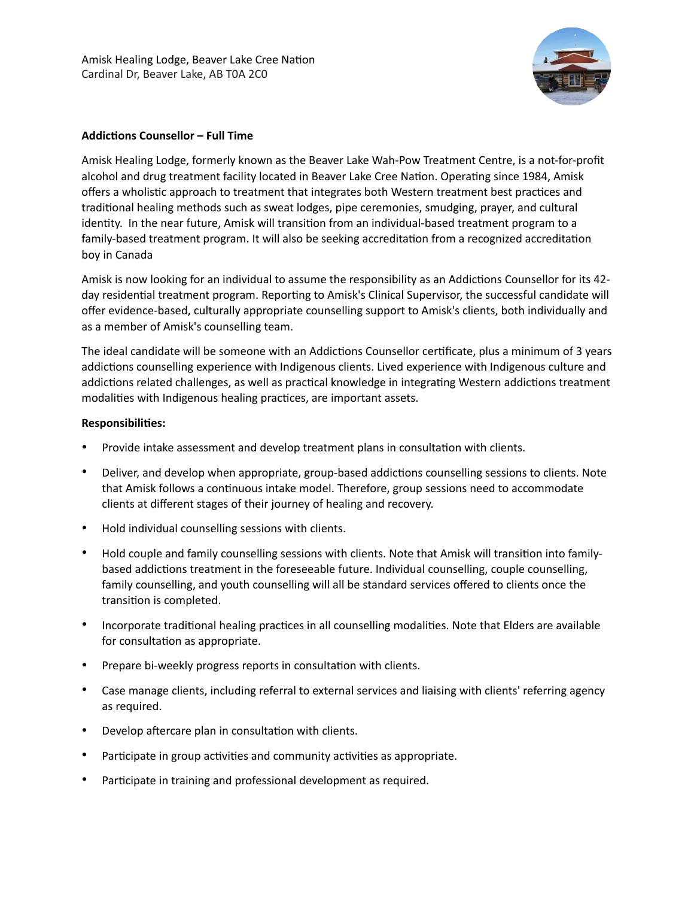

## **Addictions Counsellor – Full Time**

Amisk Healing Lodge, formerly known as the Beaver Lake Wah-Pow Treatment Centre, is a not-for-profit alcohol and drug treatment facility located in Beaver Lake Cree Nation. Operating since 1984, Amisk offers a wholistic approach to treatment that integrates both Western treatment best practices and traditional healing methods such as sweat lodges, pipe ceremonies, smudging, prayer, and cultural identity. In the near future, Amisk will transition from an individual-based treatment program to a family-based treatment program. It will also be seeking accreditation from a recognized accreditation boy in Canada

Amisk is now looking for an individual to assume the responsibility as an Addictions Counsellor for its 42 day residential treatment program. Reporting to Amisk's Clinical Supervisor, the successful candidate will offer evidence-based, culturally appropriate counselling support to Amisk's clients, both individually and as a member of Amisk's counselling team.

The ideal candidate will be someone with an Addictions Counsellor certificate, plus a minimum of 3 years addictions counselling experience with Indigenous clients. Lived experience with Indigenous culture and addictions related challenges, as well as practical knowledge in integrating Western addictions treatment modalities with Indigenous healing practices, are important assets.

### **Responsibilities:**

- Provide intake assessment and develop treatment plans in consultation with clients.
- Deliver, and develop when appropriate, group-based addictions counselling sessions to clients. Note that Amisk follows a continuous intake model. Therefore, group sessions need to accommodate clients at different stages of their journey of healing and recovery.
- Hold individual counselling sessions with clients.
- Hold couple and family counselling sessions with clients. Note that Amisk will transition into familybased addictions treatment in the foreseeable future. Individual counselling, couple counselling, family counselling, and youth counselling will all be standard services offered to clients once the transition is completed.
- Incorporate traditional healing practices in all counselling modalities. Note that Elders are available for consultation as appropriate.
- Prepare bi-weekly progress reports in consultation with clients.
- Case manage clients, including referral to external services and liaising with clients' referring agency as required.
- Develop aftercare plan in consultation with clients.
- Participate in group activities and community activities as appropriate.
- Participate in training and professional development as required.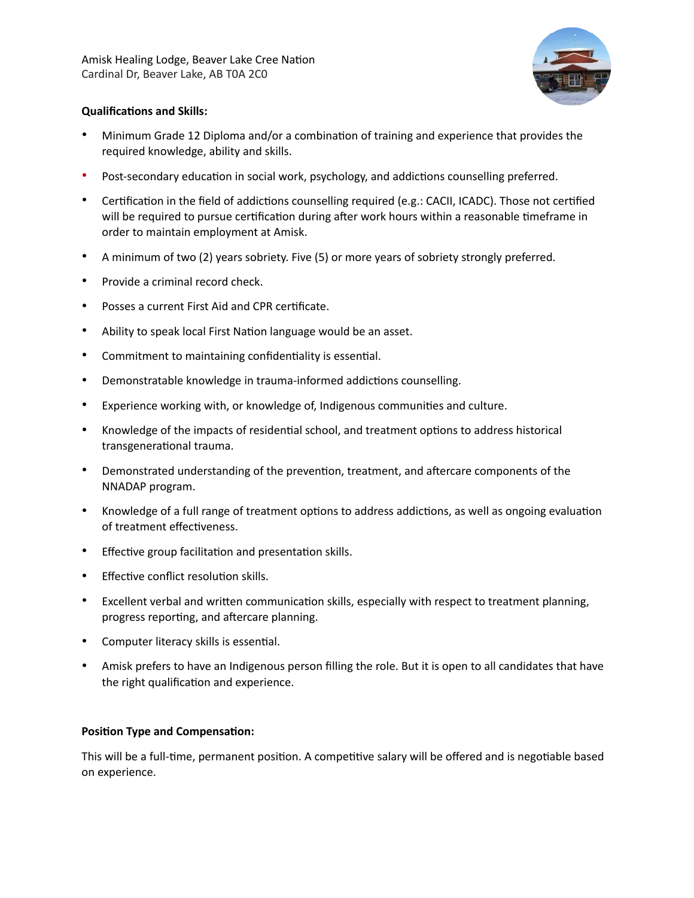

# **Qualifications and Skills:**

- Minimum Grade 12 Diploma and/or a combination of training and experience that provides the required knowledge, ability and skills.
- Post-secondary education in social work, psychology, and addictions counselling preferred.
- Certification in the field of addictions counselling required (e.g.: CACII, ICADC). Those not certified will be required to pursue certification during after work hours within a reasonable timeframe in order to maintain employment at Amisk.
- A minimum of two (2) years sobriety. Five (5) or more years of sobriety strongly preferred.
- Provide a criminal record check.
- Posses a current First Aid and CPR certificate.
- Ability to speak local First Nation language would be an asset.
- Commitment to maintaining confidentiality is essential.
- Demonstratable knowledge in trauma-informed addictions counselling.
- Experience working with, or knowledge of, Indigenous communities and culture.
- Knowledge of the impacts of residential school, and treatment options to address historical transgenerational trauma.
- Demonstrated understanding of the prevention, treatment, and aftercare components of the NNADAP program.
- Knowledge of a full range of treatment options to address addictions, as well as ongoing evaluation of treatment effectiveness.
- Effective group facilitation and presentation skills.
- Effective conflict resolution skills.
- Excellent verbal and written communication skills, especially with respect to treatment planning, progress reporting, and aftercare planning.
- Computer literacy skills is essential.
- Amisk prefers to have an Indigenous person filling the role. But it is open to all candidates that have the right qualification and experience.

### **Position Type and Compensation:**

This will be a full-time, permanent position. A competitive salary will be offered and is negotiable based on experience.